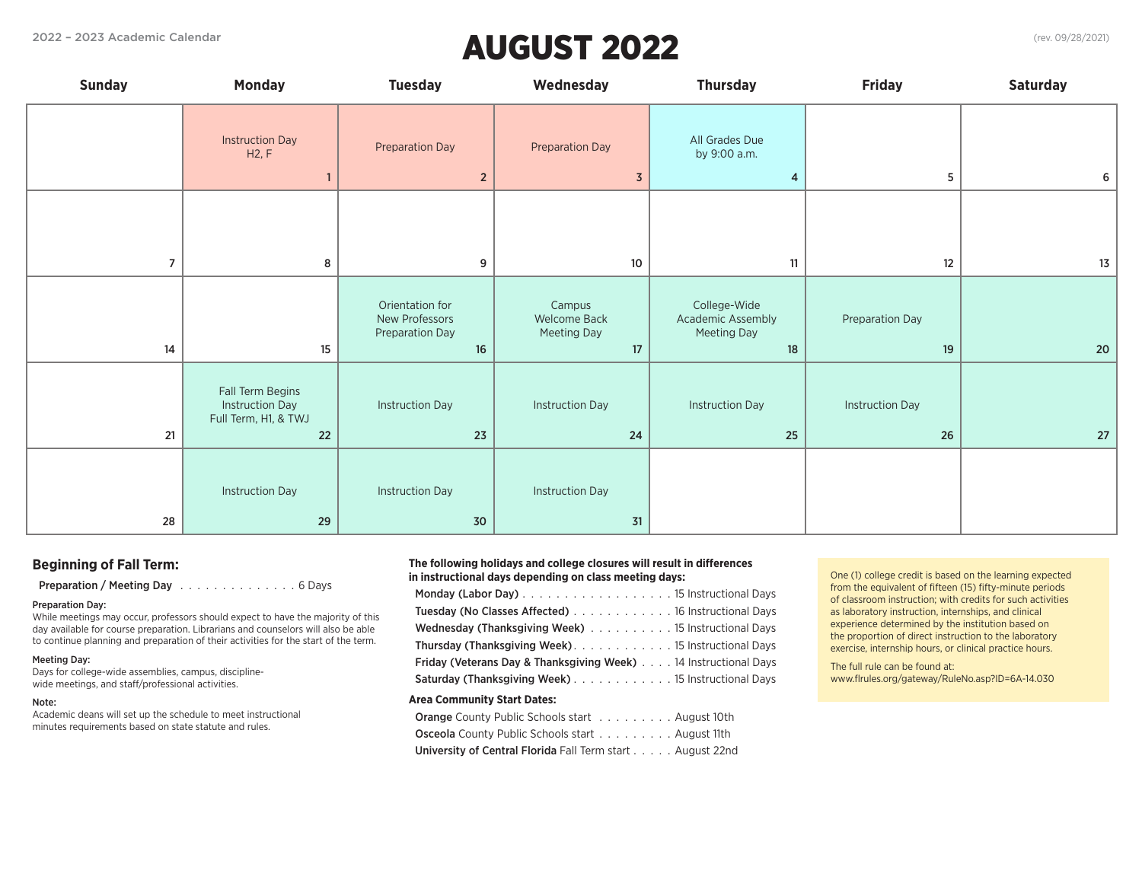# 2022 – 2023 Academic Calendar (rev. 09/28/2021) AUGUST 2022

| <b>Sunday</b>  | <b>Monday</b>                                                            | <b>Tuesday</b>                                             | Wednesday                                   | <b>Thursday</b>                                        | <b>Friday</b>                | <b>Saturday</b> |
|----------------|--------------------------------------------------------------------------|------------------------------------------------------------|---------------------------------------------|--------------------------------------------------------|------------------------------|-----------------|
|                | <b>Instruction Day</b><br>H2, F                                          | <b>Preparation Day</b><br>$\overline{2}$                   | Preparation Day<br>$\overline{3}$           | All Grades Due<br>by 9:00 a.m.<br>4                    | 5                            | 6               |
| $\overline{7}$ | 8                                                                        | 9                                                          | 10                                          | 11                                                     | 12                           | $13\,$          |
| 14             | 15                                                                       | Orientation for<br>New Professors<br>Preparation Day<br>16 | Campus<br>Welcome Back<br>Meeting Day<br>17 | College-Wide<br>Academic Assembly<br>Meeting Day<br>18 | Preparation Day<br>19        | 20              |
| 21             | Fall Term Begins<br><b>Instruction Day</b><br>Full Term, H1, & TWJ<br>22 | <b>Instruction Day</b><br>23                               | <b>Instruction Day</b><br>$24$              | <b>Instruction Day</b><br>25                           | <b>Instruction Day</b><br>26 | $27$            |
| 28             | <b>Instruction Day</b><br>29                                             | <b>Instruction Day</b><br>$30$                             | <b>Instruction Day</b><br>$31$              |                                                        |                              |                 |

### **Beginning of Fall Term:**

Preparation / Meeting Day Alberts Alberts Alberts And Days

### Preparation Day:

While meetings may occur, professors should expect to have the majority of this day available for course preparation. Librarians and counselors will also be able to continue planning and preparation of their activities for the start of the term.

### Meeting Day:

Days for college-wide assemblies, campus, disciplinewide meetings, and staff/professional activities.

#### Note:

Academic deans will set up the schedule to meet instructional minutes requirements based on state statute and rules.

#### **The following holidays and college closures will result in differences in instructional days depending on class meeting days:**

| Tuesday (No Classes Affected) 16 Instructional Days                        |
|----------------------------------------------------------------------------|
| Wednesday (Thanksgiving Week) 15 Instructional Days                        |
|                                                                            |
| <b>Friday (Veterans Day &amp; Thanksgiving Week)</b> 14 Instructional Days |
| Saturday (Thanksgiving Week) 15 Instructional Days                         |
| <b>Area Community Start Dates:</b>                                         |
| <b>Orange</b> County Public Schools start August 10th                      |
| <b>Osceola</b> County Public Schools start August 11th                     |

University of Central Florida Fall Term start . . . . . August 22nd

One (1) college credit is based on the learning expected from the equivalent of fifteen (15) fifty-minute periods of classroom instruction; with credits for such activities as laboratory instruction, internships, and clinical experience determined by the institution based on the proportion of direct instruction to the laboratory exercise, internship hours, or clinical practice hours.

The full rule can be found at: www.flrules.org/gateway/RuleNo.asp?ID=6A-14.030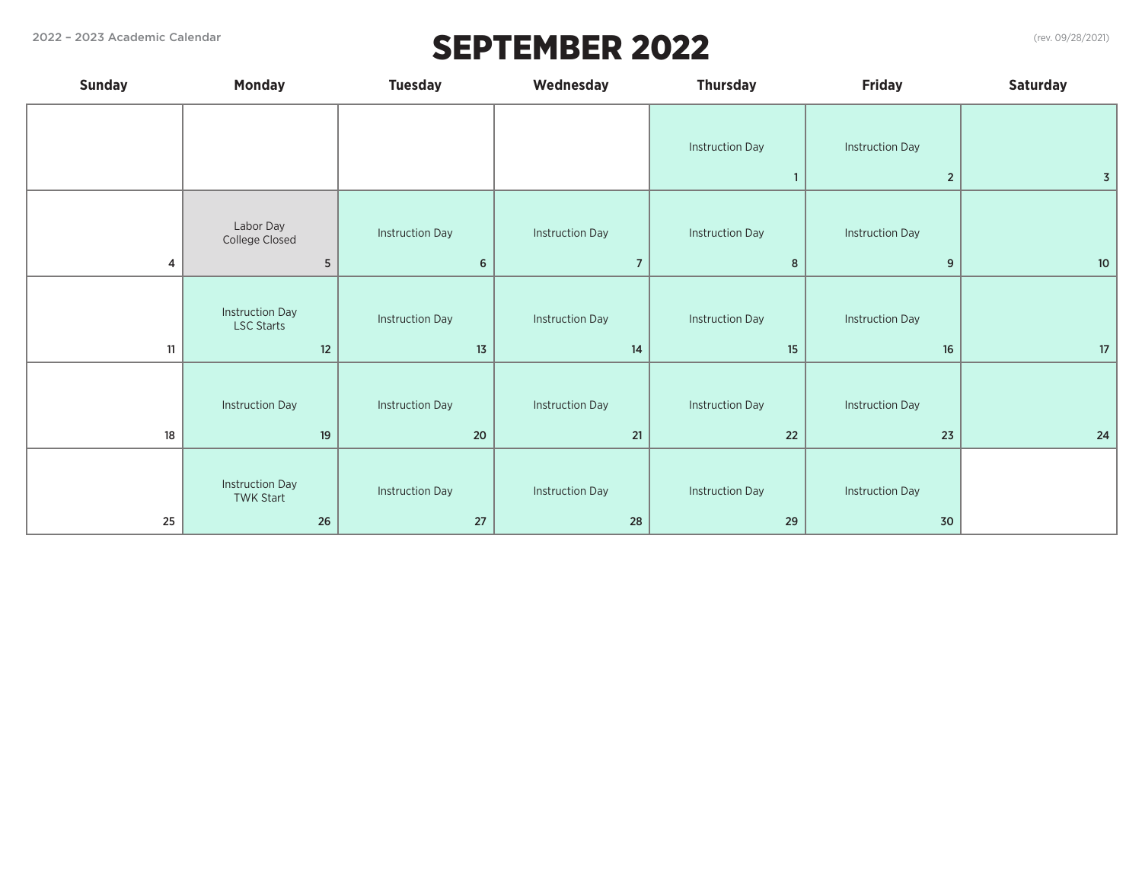# 2022 – 2023 Academic Calendar (rev. 09/28/2021)

| <b>Sunday</b> | <b>Monday</b>                                         | <b>Tuesday</b>               | Wednesday                    | <b>Thursday</b>              | <b>Friday</b>                | <b>Saturday</b> |
|---------------|-------------------------------------------------------|------------------------------|------------------------------|------------------------------|------------------------------|-----------------|
|               |                                                       |                              |                              | <b>Instruction Day</b>       | <b>Instruction Day</b>       |                 |
|               |                                                       |                              |                              | $\mathbf{1}$                 | $\overline{2}$               | 3 <sup>1</sup>  |
|               | Labor Day<br>College Closed                           | <b>Instruction Day</b>       | <b>Instruction Day</b>       | <b>Instruction Day</b>       | <b>Instruction Day</b>       |                 |
| 4             | $\sqrt{5}$                                            | $\bf 6$                      | $\overline{7}$               | 8                            | 9                            | 10 <sup>°</sup> |
| 11            | <b>Instruction Day</b><br><b>LSC Starts</b><br>$12\,$ | <b>Instruction Day</b><br>13 | <b>Instruction Day</b><br>14 | <b>Instruction Day</b><br>15 | <b>Instruction Day</b><br>16 | 17              |
| 18            | <b>Instruction Day</b><br>19                          | <b>Instruction Day</b><br>20 | <b>Instruction Day</b><br>21 | <b>Instruction Day</b><br>22 | <b>Instruction Day</b><br>23 | $24$            |
| 25            | <b>Instruction Day</b><br><b>TWK Start</b><br>26      | <b>Instruction Day</b><br>27 | <b>Instruction Day</b><br>28 | <b>Instruction Day</b><br>29 | <b>Instruction Day</b><br>30 |                 |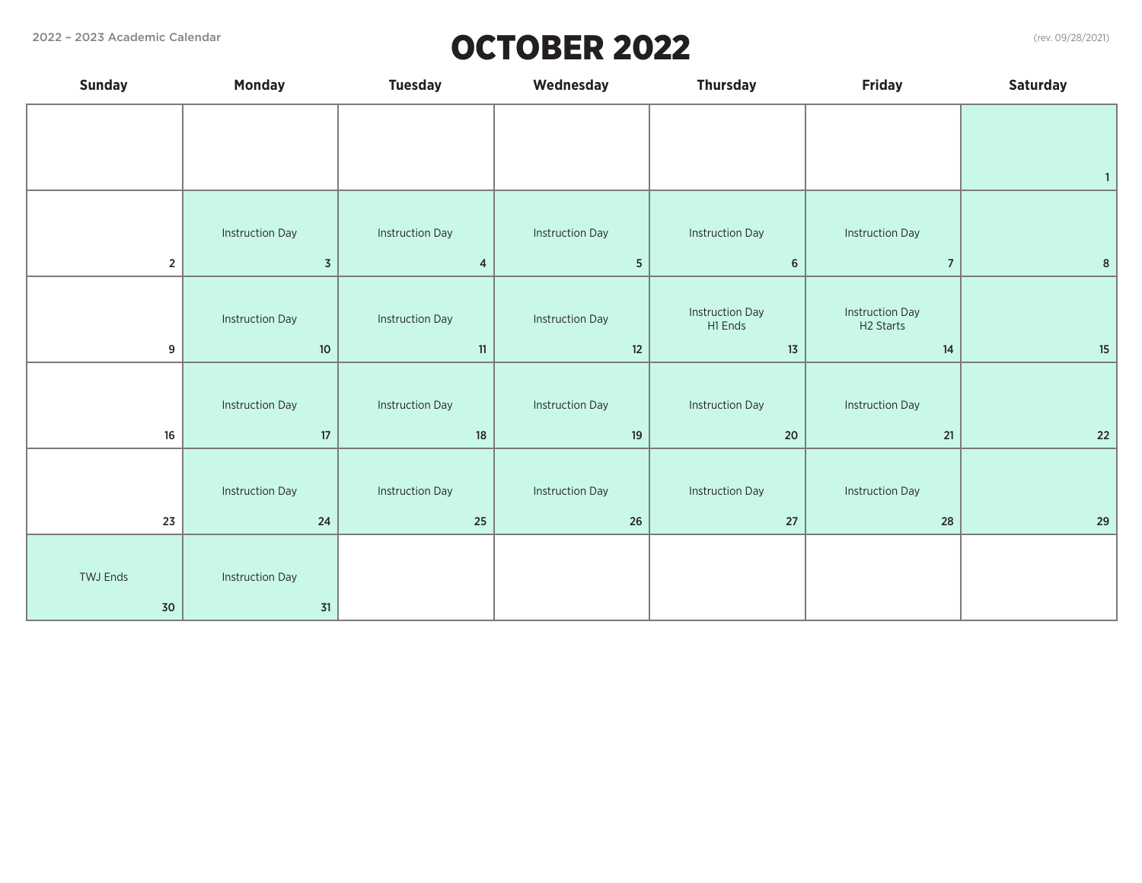# 2022 – 2023 Academic Calendar (rev. 09/28/2021) OCTOBER 2022

| <b>Sunday</b>   | <b>Monday</b>          | <b>Tuesday</b>         | Wednesday              | <b>Thursday</b>                   | <b>Friday</b>                                   | <b>Saturday</b>  |
|-----------------|------------------------|------------------------|------------------------|-----------------------------------|-------------------------------------------------|------------------|
|                 |                        |                        |                        |                                   |                                                 |                  |
|                 |                        |                        |                        |                                   |                                                 |                  |
|                 |                        |                        |                        |                                   |                                                 | $\mathbf{1}$     |
|                 |                        |                        |                        |                                   |                                                 |                  |
|                 | <b>Instruction Day</b> | <b>Instruction Day</b> | <b>Instruction Day</b> | <b>Instruction Day</b>            | <b>Instruction Day</b>                          |                  |
| $\overline{2}$  | $\overline{3}$         | $\overline{4}$         | 5 <sub>5</sub>         | $6\phantom{1}6$                   | $\overline{7}$                                  | $\boldsymbol{8}$ |
|                 |                        |                        |                        |                                   |                                                 |                  |
|                 | <b>Instruction Day</b> | <b>Instruction Day</b> | <b>Instruction Day</b> | <b>Instruction Day</b><br>H1 Ends | <b>Instruction Day</b><br>H <sub>2</sub> Starts |                  |
| 9               | $10\,$                 | 11                     | 12                     | $13$                              | 14                                              | $15\,$           |
|                 |                        |                        |                        |                                   |                                                 |                  |
|                 | <b>Instruction Day</b> | <b>Instruction Day</b> | <b>Instruction Day</b> | <b>Instruction Day</b>            | <b>Instruction Day</b>                          |                  |
| $16\,$          | $17\,$                 | $18\,$                 | $19$                   | 20                                | 21                                              | $22\,$           |
|                 |                        |                        |                        |                                   |                                                 |                  |
|                 | <b>Instruction Day</b> | <b>Instruction Day</b> | <b>Instruction Day</b> | <b>Instruction Day</b>            | <b>Instruction Day</b>                          |                  |
| 23              | 24                     | 25                     | 26                     | $27\,$                            | 28                                              | 29               |
|                 |                        |                        |                        |                                   |                                                 |                  |
| <b>TWJ Ends</b> | <b>Instruction Day</b> |                        |                        |                                   |                                                 |                  |
| $30$            | $31$                   |                        |                        |                                   |                                                 |                  |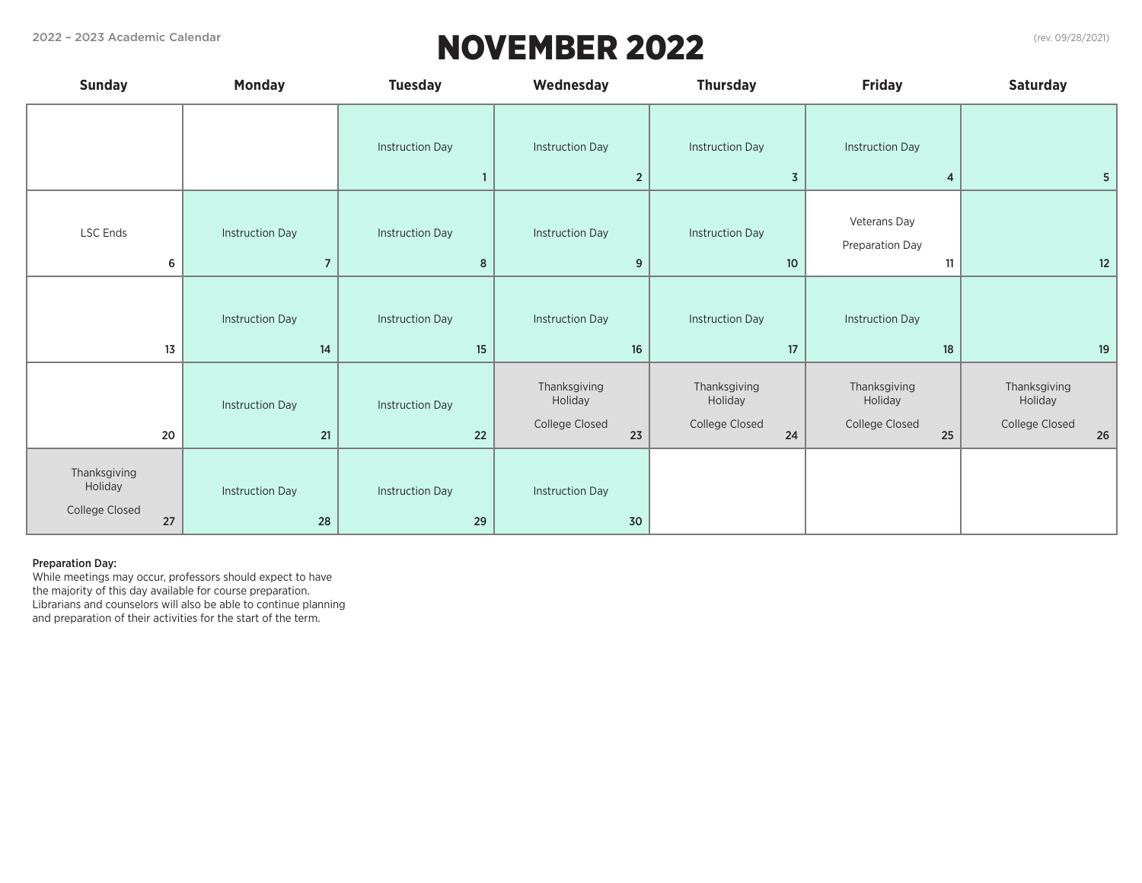# 2022 – 2023 Academic Calendar (rev. 09/28/2021) NOVEMBER 2022

|  |  | (rev. 09/28/2021) |
|--|--|-------------------|
|--|--|-------------------|

| <b>Sunday</b>                                   | <b>Monday</b>                            | <b>Tuesday</b>               | Wednesday                                       | <b>Thursday</b>                                 | <b>Friday</b>                                   | <b>Saturday</b>                                     |
|-------------------------------------------------|------------------------------------------|------------------------------|-------------------------------------------------|-------------------------------------------------|-------------------------------------------------|-----------------------------------------------------|
|                                                 |                                          | <b>Instruction Day</b>       | <b>Instruction Day</b><br>$\overline{2}$        | <b>Instruction Day</b><br>$\overline{3}$        | <b>Instruction Day</b><br>4                     | 5                                                   |
| LSC Ends<br>6                                   | <b>Instruction Day</b><br>$\overline{7}$ | <b>Instruction Day</b><br>8  | <b>Instruction Day</b><br>9                     | <b>Instruction Day</b><br>10                    | Veterans Day<br>Preparation Day<br>11           | 12                                                  |
| 13                                              | <b>Instruction Day</b><br>$14$           | <b>Instruction Day</b><br>15 | <b>Instruction Day</b><br>16                    | <b>Instruction Day</b><br>17                    | <b>Instruction Day</b><br>18                    | 19                                                  |
| 20                                              | <b>Instruction Day</b><br>21             | <b>Instruction Day</b><br>22 | Thanksgiving<br>Holiday<br>College Closed<br>23 | Thanksgiving<br>Holiday<br>College Closed<br>24 | Thanksgiving<br>Holiday<br>College Closed<br>25 | Thanksgiving<br>Holiday<br>College Closed<br>$26\,$ |
| Thanksgiving<br>Holiday<br>College Closed<br>27 | <b>Instruction Day</b><br>28             | <b>Instruction Day</b><br>29 | <b>Instruction Day</b><br>30                    |                                                 |                                                 |                                                     |

### Preparation Day:

While meetings may occur, professors should expect to have the majority of this day available for course preparation. Librarians and counselors will also be able to continue planning and preparation of their activities for the start of the term.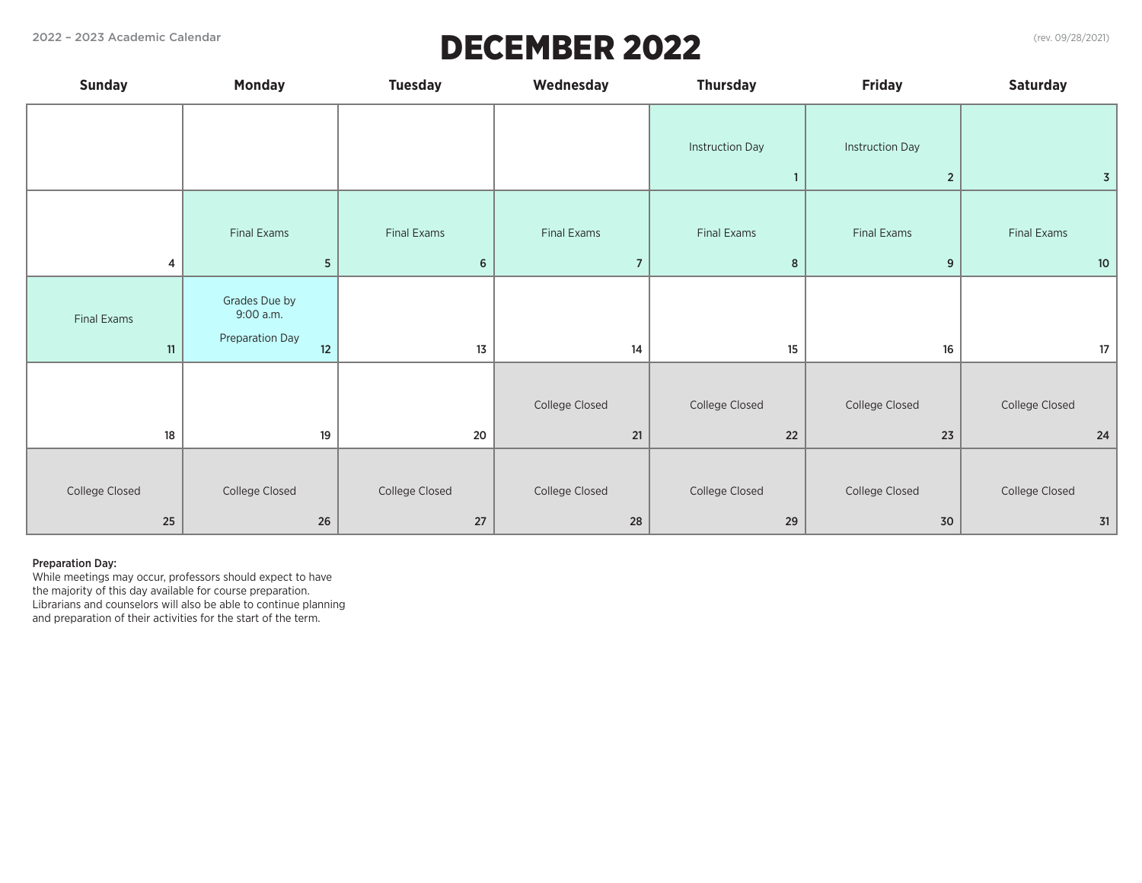# 2022 – 2023 Academic Calendar (rev. 09/28/2021)

| (rev. 09/28/2021) |
|-------------------|
|-------------------|

| <b>Sunday</b>        | <b>Monday</b>                                       | <b>Tuesday</b>           | Wednesday                     | <b>Thursday</b>                        | <b>Friday</b>                            | <b>Saturday</b>        |
|----------------------|-----------------------------------------------------|--------------------------|-------------------------------|----------------------------------------|------------------------------------------|------------------------|
|                      |                                                     |                          |                               | <b>Instruction Day</b><br>$\mathbf{1}$ | <b>Instruction Day</b><br>$\overline{2}$ | $\overline{3}$         |
| 4                    | Final Exams<br>${\mathbf 5}$                        | Final Exams<br>6         | Final Exams<br>$\overline{7}$ | Final Exams<br>8                       | Final Exams<br>9                         | Final Exams<br>10      |
| Final Exams<br>11    | Grades Due by<br>9:00 a.m.<br>Preparation Day<br>12 | $13\,$                   | 14                            | $15\phantom{.0}$                       | 16                                       | 17                     |
| 18                   | 19                                                  | 20                       | College Closed<br>21          | College Closed<br>$22\,$               | College Closed<br>23                     | College Closed<br>$24$ |
| College Closed<br>25 | College Closed<br>$26\,$                            | College Closed<br>$27\,$ | College Closed<br>28          | College Closed<br>$29\,$               | College Closed<br>$30$                   | College Closed<br>$31$ |

### Preparation Day:

While meetings may occur, professors should expect to have the majority of this day available for course preparation. Librarians and counselors will also be able to continue planning and preparation of their activities for the start of the term.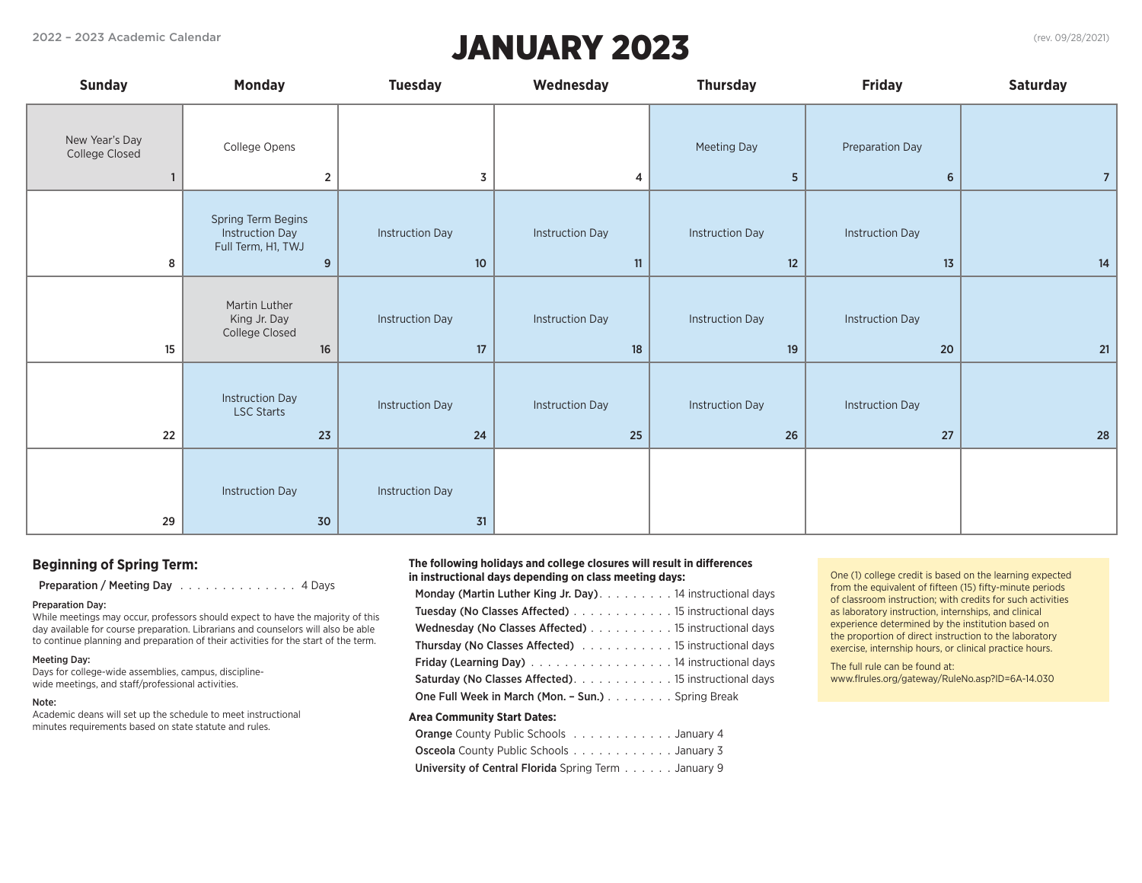# 2022 – 2023 Academic Calendar (rev. 09/28/2021) JANUARY 2023

| <b>Sunday</b>                    | <b>Monday</b>                                                           | <b>Tuesday</b>                   | Wednesday                    | <b>Thursday</b>               | <b>Friday</b>                | <b>Saturday</b> |
|----------------------------------|-------------------------------------------------------------------------|----------------------------------|------------------------------|-------------------------------|------------------------------|-----------------|
| New Year's Day<br>College Closed | College Opens<br>$\overline{2}$                                         | 3                                | 4                            | Meeting Day<br>$\overline{5}$ | Preparation Day<br>6         | $\overline{7}$  |
| 8                                | Spring Term Begins<br><b>Instruction Day</b><br>Full Term, H1, TWJ<br>9 | <b>Instruction Day</b><br>10     | <b>Instruction Day</b><br>11 | <b>Instruction Day</b><br>12  | <b>Instruction Day</b><br>13 | 14              |
| 15                               | Martin Luther<br>King Jr. Day<br>College Closed<br>$16\,$               | <b>Instruction Day</b><br>$17\,$ | <b>Instruction Day</b><br>18 | <b>Instruction Day</b><br>19  | <b>Instruction Day</b><br>20 | 21              |
| 22                               | <b>Instruction Day</b><br><b>LSC Starts</b><br>23                       | <b>Instruction Day</b><br>24     | <b>Instruction Day</b><br>25 | <b>Instruction Day</b><br>26  | <b>Instruction Day</b><br>27 | 28              |
| 29                               | <b>Instruction Day</b><br>30                                            | <b>Instruction Day</b><br>31     |                              |                               |                              |                 |

### **Beginning of Spring Term:**

Preparation / Meeting Day 4. Access 2014 Pays

#### Preparation Day:

While meetings may occur, professors should expect to have the majority of this day available for course preparation. Librarians and counselors will also be able to continue planning and preparation of their activities for the start of the term.

#### Meeting Day:

Days for college-wide assemblies, campus, disciplinewide meetings, and staff/professional activities.

#### Note:

Academic deans will set up the schedule to meet instructional minutes requirements based on state statute and rules.

#### **The following holidays and college closures will result in differences in instructional days depending on class meeting days:**

| Monday (Martin Luther King Jr. Day) 14 instructional days   |
|-------------------------------------------------------------|
| Tuesday (No Classes Affected) 15 instructional days         |
| Wednesday (No Classes Affected) 15 instructional days       |
| <b>Thursday (No Classes Affected)</b> 15 instructional days |
| Friday (Learning Day) 14 instructional days                 |
| <b>Saturday (No Classes Affected)</b> 15 instructional days |
| One Full Week in March (Mon. - Sun.) Spring Break           |
|                                                             |

### **Area Community Start Dates:**

| <b>Orange</b> County Public Schools January 4       |  |  |  |  |  |
|-----------------------------------------------------|--|--|--|--|--|
| <b>Osceola</b> County Public Schools January 3      |  |  |  |  |  |
| University of Central Florida Spring Term January 9 |  |  |  |  |  |

One (1) college credit is based on the learning expected from the equivalent of fifteen (15) fifty-minute periods of classroom instruction; with credits for such activities as laboratory instruction, internships, and clinical experience determined by the institution based on the proportion of direct instruction to the laboratory exercise, internship hours, or clinical practice hours.

The full rule can be found at: www.flrules.org/gateway/RuleNo.asp?ID=6A-14.030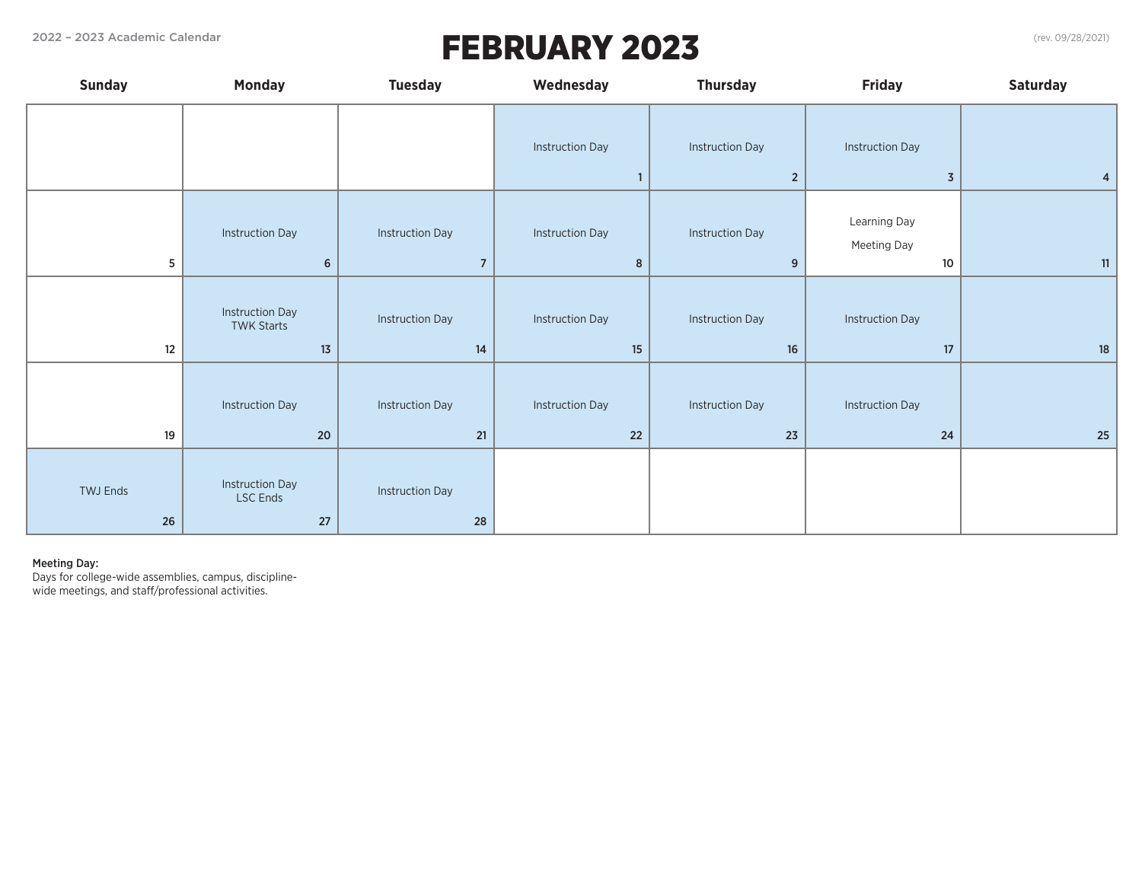# 2022 – 2023 Academic Calendar (rev. 09/28/2021) FEBRUARY 2023

| <b>Sunday</b>  | <b>Monday</b>                                     | <b>Tuesday</b>                           | Wednesday                                | <b>Thursday</b>                          | <b>Friday</b>                            | <b>Saturday</b> |
|----------------|---------------------------------------------------|------------------------------------------|------------------------------------------|------------------------------------------|------------------------------------------|-----------------|
|                |                                                   |                                          | <b>Instruction Day</b><br>$\blacksquare$ | <b>Instruction Day</b><br>$\overline{2}$ | <b>Instruction Day</b><br>$\overline{3}$ | 4               |
| 5              | <b>Instruction Day</b><br>$\boldsymbol{6}$        | <b>Instruction Day</b><br>$\overline{7}$ | <b>Instruction Day</b><br>8              | <b>Instruction Day</b><br>9              | Learning Day<br>Meeting Day<br>10        | 11              |
| 12             | <b>Instruction Day</b><br><b>TWK Starts</b><br>13 | <b>Instruction Day</b><br>14             | <b>Instruction Day</b><br>15             | <b>Instruction Day</b><br>16             | Instruction Day<br>17                    | 18              |
| 19             | <b>Instruction Day</b><br>$20\,$                  | <b>Instruction Day</b><br>21             | <b>Instruction Day</b><br>22             | <b>Instruction Day</b><br>23             | <b>Instruction Day</b><br>24             | 25              |
| TWJ Ends<br>26 | <b>Instruction Day</b><br><b>LSC Ends</b><br>27   | <b>Instruction Day</b><br>28             |                                          |                                          |                                          |                 |

#### Meeting Day:

Days for college-wide assemblies, campus, disciplinewide meetings, and staff/professional activities.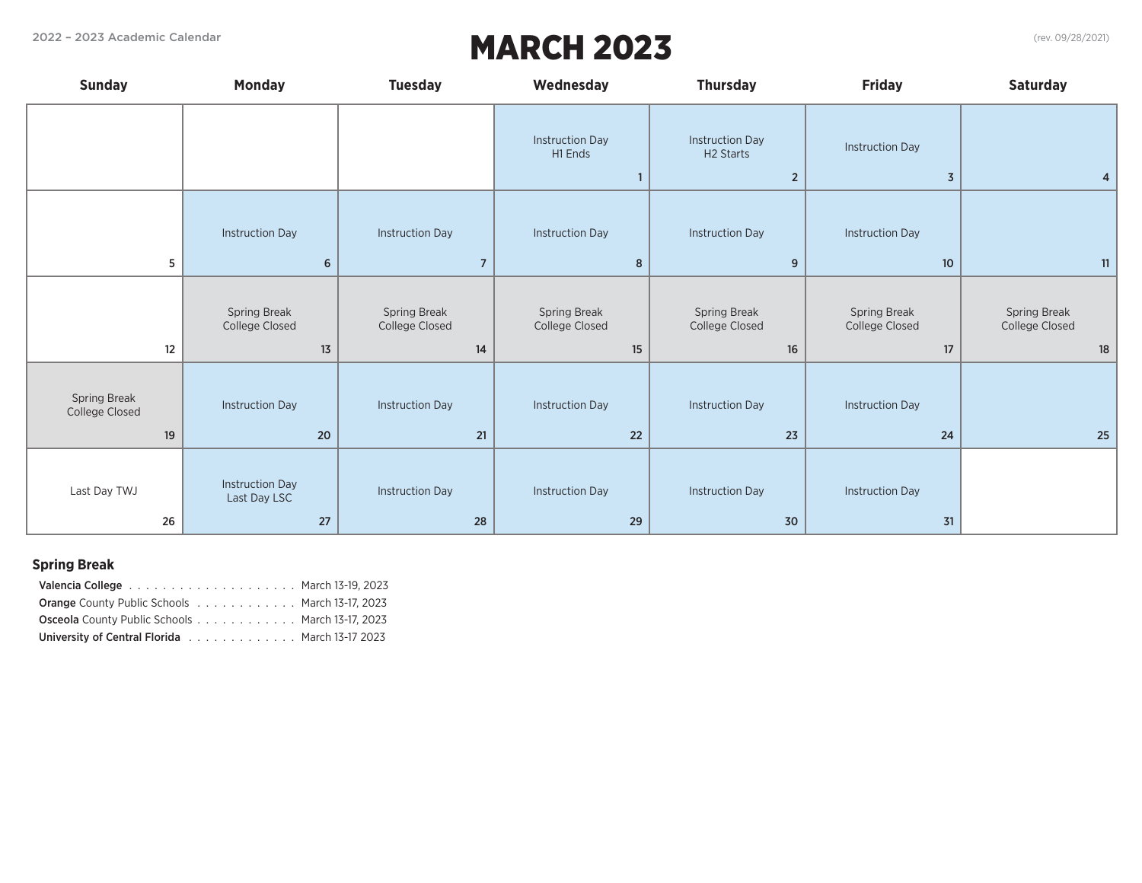# 2022 – 2023 Academic Calendar (rev. 09/28/2021) MARCH 2023

| <b>Sunday</b>                        | <b>Monday</b>                                | <b>Tuesday</b>                           | Wednesday                              | <b>Thursday</b>                                                   | <b>Friday</b>                            | <b>Saturday</b>                      |
|--------------------------------------|----------------------------------------------|------------------------------------------|----------------------------------------|-------------------------------------------------------------------|------------------------------------------|--------------------------------------|
|                                      |                                              |                                          | <b>Instruction Day</b><br>H1 Ends<br>1 | <b>Instruction Day</b><br>H <sub>2</sub> Starts<br>$\overline{2}$ | <b>Instruction Day</b><br>$\overline{3}$ | $\overline{4}$                       |
| 5                                    | <b>Instruction Day</b><br>6                  | <b>Instruction Day</b><br>$\overline{7}$ | <b>Instruction Day</b><br>8            | <b>Instruction Day</b><br>9                                       | <b>Instruction Day</b><br>10             | 11                                   |
| 12                                   | Spring Break<br>College Closed<br>13         | Spring Break<br>College Closed<br>14     | Spring Break<br>College Closed<br>15   | Spring Break<br>College Closed<br>16                              | Spring Break<br>College Closed<br>17     | Spring Break<br>College Closed<br>18 |
| Spring Break<br>College Closed<br>19 | <b>Instruction Day</b><br>20                 | <b>Instruction Day</b><br>21             | <b>Instruction Day</b><br>22           | <b>Instruction Day</b><br>23                                      | <b>Instruction Day</b><br>24             | 25                                   |
| Last Day TWJ<br>26                   | <b>Instruction Day</b><br>Last Day LSC<br>27 | <b>Instruction Day</b><br>28             | <b>Instruction Day</b><br>29           | <b>Instruction Day</b><br>30                                      | <b>Instruction Day</b><br>31             |                                      |

## **Spring Break**

| <b>Orange County Public Schools  March 13-17, 2023</b> |  |
|--------------------------------------------------------|--|
| <b>Osceola</b> County Public Schools March 13-17, 2023 |  |
| University of Central Florida March 13-17 2023         |  |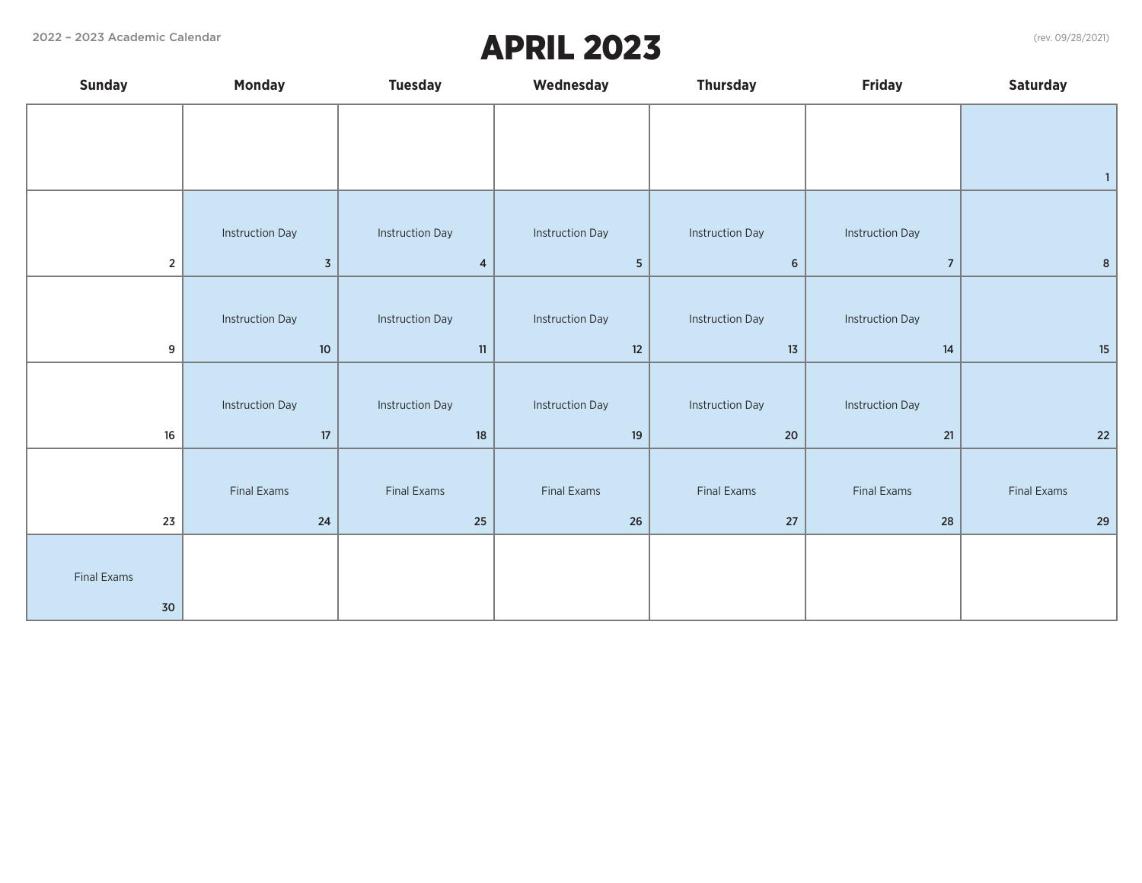## 2022 – 2023 Academic Calendar (rev. 09/28/2021) APRIL 2023

| <b>Sunday</b>      | <b>Monday</b>          | <b>Tuesday</b>         | Wednesday              | <b>Thursday</b>        | <b>Friday</b>          | <b>Saturday</b> |
|--------------------|------------------------|------------------------|------------------------|------------------------|------------------------|-----------------|
|                    |                        |                        |                        |                        |                        |                 |
|                    |                        |                        |                        |                        |                        |                 |
|                    |                        |                        |                        |                        |                        | $\overline{1}$  |
|                    |                        |                        |                        |                        |                        |                 |
|                    | <b>Instruction Day</b> | <b>Instruction Day</b> | <b>Instruction Day</b> | <b>Instruction Day</b> | <b>Instruction Day</b> |                 |
| $\overline{2}$     | $\overline{3}$         | $\overline{4}$         | $5\phantom{.0}$        | $\,$ 6 $\,$            | $\overline{7}$         | $\bf 8$         |
|                    |                        |                        |                        |                        |                        |                 |
|                    | <b>Instruction Day</b> | <b>Instruction Day</b> | <b>Instruction Day</b> | <b>Instruction Day</b> | <b>Instruction Day</b> |                 |
| 9                  | $10$                   | 11                     | 12                     | $13$                   | $14$                   | $15\,$          |
|                    |                        |                        |                        |                        |                        |                 |
|                    | <b>Instruction Day</b> | <b>Instruction Day</b> | <b>Instruction Day</b> | <b>Instruction Day</b> | <b>Instruction Day</b> |                 |
| $16\,$             | $17\,$                 | $18\,$                 | $19$                   | $20\,$                 | $21$                   | $22$            |
|                    |                        |                        |                        |                        |                        |                 |
|                    | <b>Final Exams</b>     | <b>Final Exams</b>     | <b>Final Exams</b>     | Final Exams            | Final Exams            | Final Exams     |
| 23                 | $24\,$                 | 25                     | 26                     | 27                     | 28                     | 29              |
|                    |                        |                        |                        |                        |                        |                 |
| <b>Final Exams</b> |                        |                        |                        |                        |                        |                 |
| 30                 |                        |                        |                        |                        |                        |                 |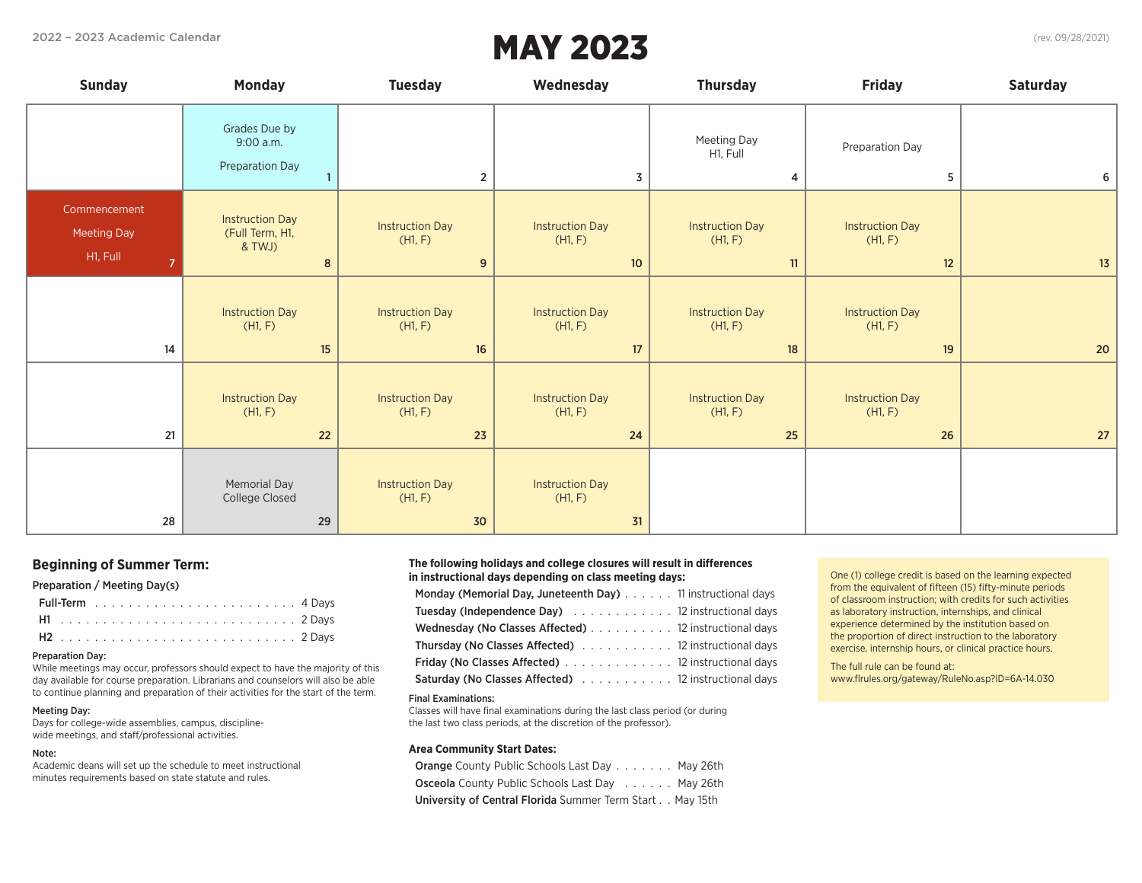# MAY 2023

| <b>Sunday</b>                                  | <b>Monday</b>                                            | <b>Tuesday</b>                          | Wednesday                                            | <b>Thursday</b>                           | <b>Friday</b>                           | <b>Saturday</b> |
|------------------------------------------------|----------------------------------------------------------|-----------------------------------------|------------------------------------------------------|-------------------------------------------|-----------------------------------------|-----------------|
|                                                | Grades Due by<br>9:00 a.m.<br>Preparation Day            | $\overline{2}$                          | 3                                                    | Meeting Day<br>H1, Full<br>$\overline{4}$ | Preparation Day<br>5                    | 6 <sup>1</sup>  |
| Commencement<br><b>Meeting Day</b><br>H1, Full | <b>Instruction Day</b><br>(Full Term, H1,<br>& TWJ)<br>8 | <b>Instruction Day</b><br>(H1, F)<br>9  | <b>Instruction Day</b><br>(H1, F)<br>10 <sup>°</sup> | <b>Instruction Day</b><br>(H1, F)<br>11   | <b>Instruction Day</b><br>(H1, F)<br>12 | 13              |
| 14                                             | <b>Instruction Day</b><br>(H1, F)<br>15                  | <b>Instruction Day</b><br>(H1, F)<br>16 | <b>Instruction Day</b><br>(H1, F)<br>17              | <b>Instruction Day</b><br>(H1, F)<br>18   | <b>Instruction Day</b><br>(H1, F)<br>19 | 20 <sub>2</sub> |
| 21                                             | <b>Instruction Day</b><br>(H1, F)<br>22                  | <b>Instruction Day</b><br>(H1, F)<br>23 | <b>Instruction Day</b><br>(H1, F)<br>24              | <b>Instruction Day</b><br>(H1, F)<br>25   | <b>Instruction Day</b><br>(H1, F)<br>26 | 27              |
| 28                                             | <b>Memorial Day</b><br>College Closed<br>29              | <b>Instruction Day</b><br>(H1, F)<br>30 | <b>Instruction Day</b><br>(H1, F)<br>31              |                                           |                                         |                 |

### **Beginning of Summer Term:**

### Preparation / Meeting Day(s)

### Preparation Day:

While meetings may occur, professors should expect to have the majority of this day available for course preparation. Librarians and counselors will also be able to continue planning and preparation of their activities for the start of the term.

#### Meeting Day:

Days for college-wide assemblies, campus, disciplinewide meetings, and staff/professional activities.

### Note:

Academic deans will set up the schedule to meet instructional minutes requirements based on state statute and rules.

#### **The following holidays and college closures will result in differences in instructional days depending on class meeting days:**

| Monday (Memorial Day, Juneteenth Day) 11 instructional days |  |
|-------------------------------------------------------------|--|
| <b>Tuesday (Independence Day)</b> 12 instructional days     |  |
| Wednesday (No Classes Affected) 12 instructional days       |  |
| <b>Thursday (No Classes Affected)</b> 12 instructional days |  |
| <b>Friday (No Classes Affected)</b> 12 instructional days   |  |
| Saturday (No Classes Affected) 12 instructional days        |  |

#### Final Examinations:

Classes will have final examinations during the last class period (or during the last two class periods, at the discretion of the professor).

#### **Area Community Start Dates:**

Orange County Public Schools Last Day . . . . . . . May 26th Osceola County Public Schools Last Day Navission May 26th University of Central Florida Summer Term Start . . May 15th

One (1) college credit is based on the learning expected from the equivalent of fifteen (15) fifty-minute periods of classroom instruction; with credits for such activities as laboratory instruction, internships, and clinical experience determined by the institution based on the proportion of direct instruction to the laboratory exercise, internship hours, or clinical practice hours.

The full rule can be found at: www.flrules.org/gateway/RuleNo.asp?ID=6A-14.030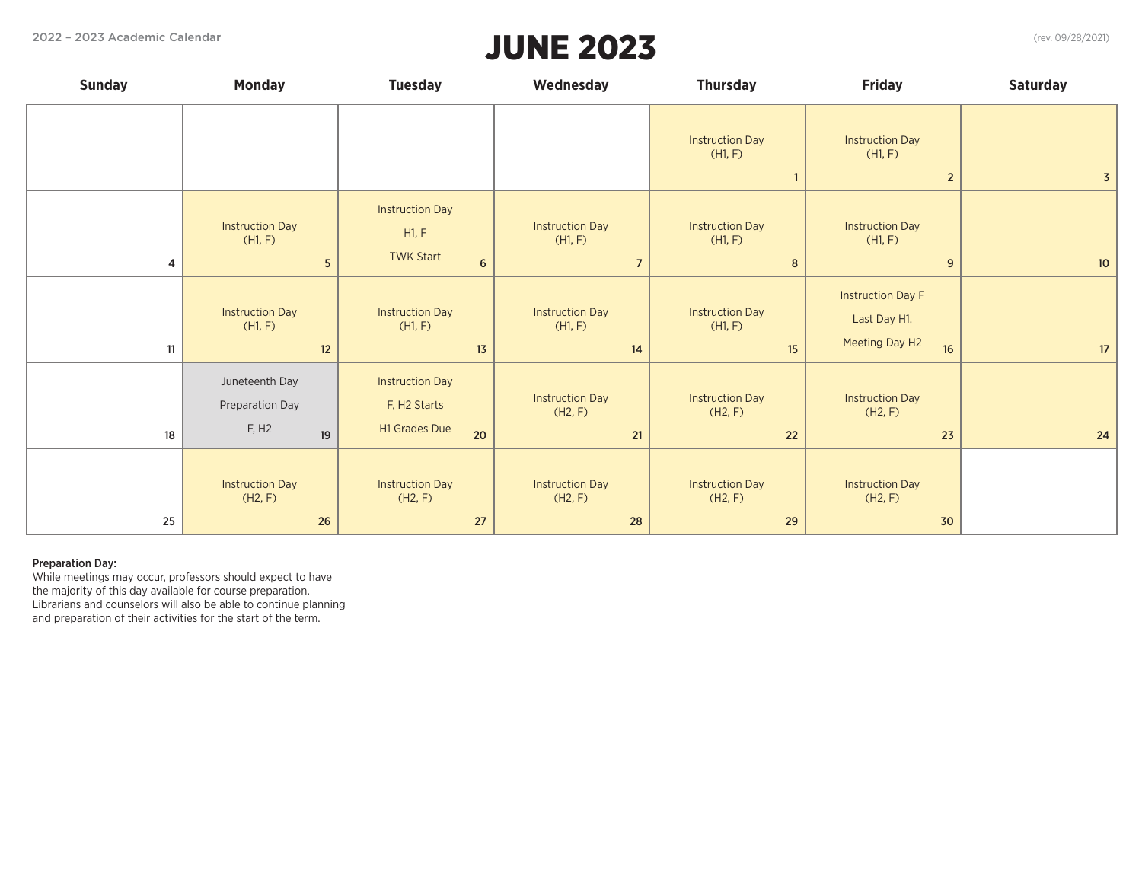# JUNE 2023

| <b>Sunday</b>  | <b>Monday</b>                                                | <b>Tuesday</b>                                                         | Wednesday                                           | <b>Thursday</b>                         | <b>Friday</b>                                                    | <b>Saturday</b> |
|----------------|--------------------------------------------------------------|------------------------------------------------------------------------|-----------------------------------------------------|-----------------------------------------|------------------------------------------------------------------|-----------------|
|                |                                                              |                                                                        |                                                     | <b>Instruction Day</b><br>(H1, F)       | <b>Instruction Day</b><br>(H1, F)<br>$2^{\circ}$                 | $\overline{3}$  |
| $\overline{4}$ | <b>Instruction Day</b><br>(H1, F)<br>5                       | <b>Instruction Day</b><br>H1, F<br><b>TWK Start</b><br>$6\overline{6}$ | <b>Instruction Day</b><br>(H1, F)<br>$\overline{7}$ | <b>Instruction Day</b><br>(H1, F)<br>8  | <b>Instruction Day</b><br>(H1, F)<br>9                           | 10 <sup>°</sup> |
| 11             | <b>Instruction Day</b><br>(H1, F)<br>12                      | <b>Instruction Day</b><br>(H1, F)<br>13                                | <b>Instruction Day</b><br>(H1, F)<br>14             | <b>Instruction Day</b><br>(H1, F)<br>15 | <b>Instruction Day F</b><br>Last Day H1,<br>Meeting Day H2<br>16 | 17              |
| 18             | Juneteenth Day<br>Preparation Day<br>F, H <sub>2</sub><br>19 | <b>Instruction Day</b><br>F, H2 Starts<br><b>H1 Grades Due</b><br>20   | <b>Instruction Day</b><br>(H2, F)<br>21             | <b>Instruction Day</b><br>(H2, F)<br>22 | <b>Instruction Day</b><br>(H2, F)<br>23                          | 24              |
| 25             | <b>Instruction Day</b><br>(H2, F)<br>26                      | <b>Instruction Day</b><br>(H2, F)<br>27                                | <b>Instruction Day</b><br>(H2, F)<br>28             | <b>Instruction Day</b><br>(H2, F)<br>29 | <b>Instruction Day</b><br>(H2, F)<br>30                          |                 |

### Preparation Day:

While meetings may occur, professors should expect to have the majority of this day available for course preparation. Librarians and counselors will also be able to continue planning and preparation of their activities for the start of the term.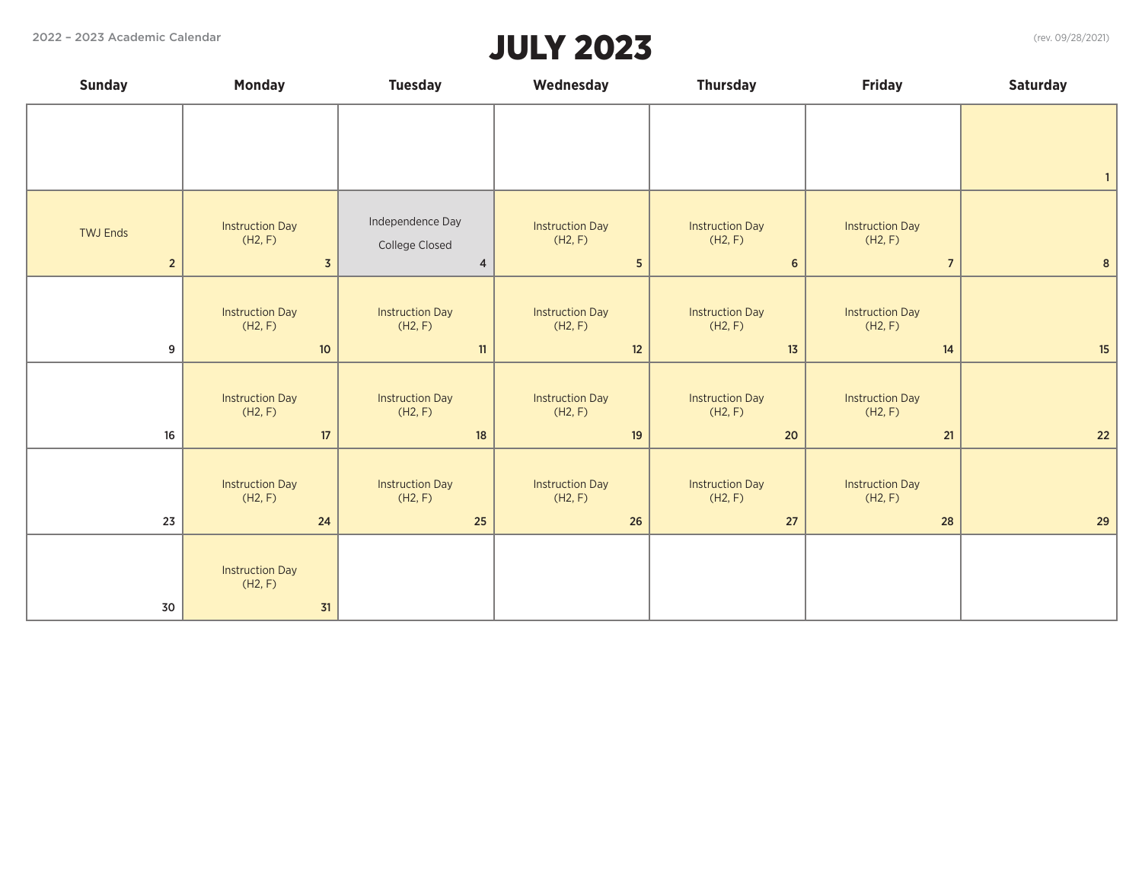## JULY 2023

| <b>Sunday</b>   | <b>Monday</b>                           | <b>Tuesday</b>                     | Wednesday                         | <b>Thursday</b>                   | <b>Friday</b>                     | <b>Saturday</b> |
|-----------------|-----------------------------------------|------------------------------------|-----------------------------------|-----------------------------------|-----------------------------------|-----------------|
|                 |                                         |                                    |                                   |                                   |                                   |                 |
|                 |                                         |                                    |                                   |                                   |                                   |                 |
|                 |                                         |                                    |                                   |                                   |                                   | $\overline{1}$  |
| <b>TWJ Ends</b> | <b>Instruction Day</b><br>(H2, F)       | Independence Day<br>College Closed | <b>Instruction Day</b><br>(H2, F) | <b>Instruction Day</b><br>(H2, F) | <b>Instruction Day</b><br>(H2, F) |                 |
| $2^{\circ}$     | $\overline{3}$                          | $\overline{4}$                     | 5 <sup>5</sup>                    | $6\phantom{1}6$                   | $\overline{7}$                    | $\bf{8}$        |
|                 | <b>Instruction Day</b><br>(H2, F)       | <b>Instruction Day</b><br>(H2, F)  | <b>Instruction Day</b><br>(H2, F) | <b>Instruction Day</b><br>(H2, F) | <b>Instruction Day</b><br>(H2, F) |                 |
| 9               | $10$                                    | 11                                 | 12                                | 13                                | 14                                | 15              |
|                 | <b>Instruction Day</b><br>(H2, F)       | <b>Instruction Day</b><br>(H2, F)  | <b>Instruction Day</b><br>(H2, F) | <b>Instruction Day</b><br>(H2, F) | <b>Instruction Day</b><br>(H2, F) |                 |
| 16              | 17                                      | $18\,$                             | 19                                | 20                                | 21                                | $22$            |
|                 | <b>Instruction Day</b><br>(H2, F)       | <b>Instruction Day</b><br>(H2, F)  | <b>Instruction Day</b><br>(H2, F) | <b>Instruction Day</b><br>(H2, F) | <b>Instruction Day</b><br>(H2, F) |                 |
| 23              | 24                                      | 25                                 | 26                                | $27$                              | 28                                | 29              |
| 30              | <b>Instruction Day</b><br>(H2, F)<br>31 |                                    |                                   |                                   |                                   |                 |